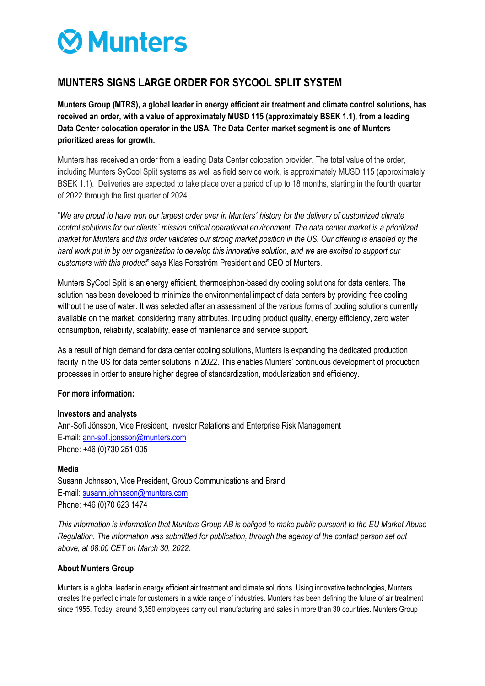# **ØMunters**

## **MUNTERS SIGNS LARGE ORDER FOR SYCOOL SPLIT SYSTEM**

**Munters Group (MTRS), a global leader in energy efficient air treatment and climate control solutions, has received an order, with a value of approximately MUSD 115 (approximately BSEK 1.1), from a leading Data Center colocation operator in the USA. The Data Center market segment is one of Munters prioritized areas for growth.**

Munters has received an order from a leading Data Center colocation provider. The total value of the order, including Munters SyCool Split systems as well as field service work, is approximately MUSD 115 (approximately BSEK 1.1). Deliveries are expected to take place over a period of up to 18 months, starting in the fourth quarter of 2022 through the first quarter of 2024.

"*We are proud to have won our largest order ever in Munters´ history for the delivery of customized climate control solutions for our clients´ mission critical operational environment. The data center market is a prioritized market for Munters and this order validates our strong market position in the US. Our offering is enabled by the hard work put in by our organization to develop this innovative solution, and we are excited to support our customers with this product*" says Klas Forsström President and CEO of Munters.

Munters SyCool Split is an energy efficient, thermosiphon-based dry cooling solutions for data centers. The solution has been developed to minimize the environmental impact of data centers by providing free cooling without the use of water. It was selected after an assessment of the various forms of cooling solutions currently available on the market, considering many attributes, including product quality, energy efficiency, zero water consumption, reliability, scalability, ease of maintenance and service support.

As a result of high demand for data center cooling solutions, Munters is expanding the dedicated production facility in the US for data center solutions in 2022. This enables Munters' continuous development of production processes in order to ensure higher degree of standardization, modularization and efficiency.

### **For more information:**

### **Investors and analysts**

Ann-Sofi Jönsson, Vice President, Investor Relations and Enterprise Risk Management E-mail[: ann-sofi.jonsson@munters.com](mailto:ann-sofi.jonsson@munters.com) Phone: +46 (0)730 251 005

### **Media**

Susann Johnsson, Vice President, Group Communications and Brand E-mail[: susann.johnsson@munters.com](mailto:susann.johnsson@munters.com) Phone: +46 (0)70 623 1474

*This information is information that Munters Group AB is obliged to make public pursuant to the EU Market Abuse Regulation. The information was submitted for publication, through the agency of the contact person set out above, at 08:00 CET on March 30, 2022.*

### **About Munters Group**

Munters is a global leader in energy efficient air treatment and climate solutions. Using innovative technologies, Munters creates the perfect climate for customers in a wide range of industries. Munters has been defining the future of air treatment since 1955. Today, around 3,350 employees carry out manufacturing and sales in more than 30 countries. Munters Group